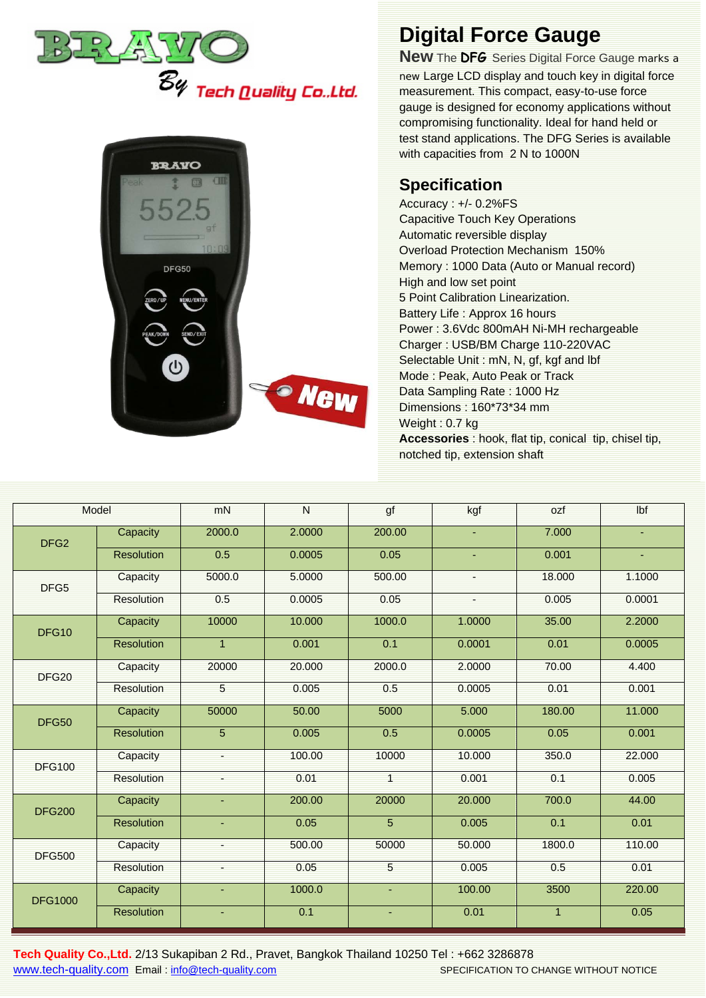



## **Digital Force Gauge**

**New** The **DFG** Series Digital Force Gauge marks a new Large LCD display and touch key in digital force measurement. This compact, easy-to-use force gauge is designed for economy applications without compromising functionality. Ideal for hand held or test stand applications. The DFG Series is available with capacities from 2 N to 1000N

## **Specification**

Accuracy : +/- 0.2%FS Capacitive Touch Key Operations Automatic reversible display Overload Protection Mechanism 150% Memory : 1000 Data (Auto or Manual record) High and low set point 5 Point Calibration Linearization. Battery Life : Approx 16 hours Power : 3.6Vdc 800mAH Ni-MH rechargeable Charger : USB/BM Charge 110-220VAC Selectable Unit : mN, N, gf, kgf and lbf Mode : Peak, Auto Peak or Track Data Sampling Rate : 1000 Hz Dimensions : 160\*73\*34 mm Weight : 0.7 kg **Accessories** : hook, flat tip, conical tip, chisel tip, notched tip, extension shaft

| Model             |                   | mN             | N      | gf             | kgf            | ozf            | Ibf            |
|-------------------|-------------------|----------------|--------|----------------|----------------|----------------|----------------|
| DFG <sub>2</sub>  | Capacity          | 2000.0         | 2.0000 | 200.00         | ٠              | 7.000          | ٠              |
|                   | <b>Resolution</b> | 0.5            | 0.0005 | 0.05           | $\blacksquare$ | 0.001          | $\blacksquare$ |
| DFG5              | Capacity          | 5000.0         | 5.0000 | 500.00         | ٠              | 18.000         | 1.1000         |
|                   | <b>Resolution</b> | 0.5            | 0.0005 | 0.05           |                | 0.005          | 0.0001         |
| DFG10             | Capacity          | 10000          | 10.000 | 1000.0         | 1.0000         | 35.00          | 2.2000         |
|                   | <b>Resolution</b> | $\overline{1}$ | 0.001  | 0.1            | 0.0001         | 0.01           | 0.0005         |
| DFG <sub>20</sub> | Capacity          | 20000          | 20.000 | 2000.0         | 2.0000         | 70.00          | 4.400          |
|                   | Resolution        | 5              | 0.005  | 0.5            | 0.0005         | 0.01           | 0.001          |
| <b>DFG50</b>      | Capacity          | 50000          | 50.00  | 5000           | 5.000          | 180.00         | 11.000         |
|                   | <b>Resolution</b> | $\overline{5}$ | 0.005  | 0.5            | 0.0005         | 0.05           | 0.001          |
| <b>DFG100</b>     | Capacity          | ÷              | 100.00 | 10000          | 10.000         | 350.0          | 22.000         |
|                   | Resolution        |                | 0.01   | $\overline{1}$ | 0.001          | 0.1            | 0.005          |
| <b>DFG200</b>     | Capacity          | ÷              | 200.00 | 20000          | 20.000         | 700.0          | 44.00          |
|                   | <b>Resolution</b> | ÷.             | 0.05   | $\overline{5}$ | 0.005          | 0.1            | 0.01           |
| <b>DFG500</b>     | Capacity          |                | 500.00 | 50000          | 50.000         | 1800.0         | 110.00         |
|                   | Resolution        |                | 0.05   | $\overline{5}$ | 0.005          | 0.5            | 0.01           |
| <b>DFG1000</b>    | Capacity          | ٠              | 1000.0 | ٠              | 100.00         | 3500           | 220.00         |
|                   | <b>Resolution</b> | ٠              | 0.1    | ٠              | 0.01           | $\overline{1}$ | 0.05           |

**Tech Quality Co.,Ltd.** 2/13 Sukapiban 2 Rd., Pravet, Bangkok Thailand 10250 Tel : +662 3286878 [www.tech-quality.com](http://www.tech-quality.com/) Email : [info@tech-quality.com](mailto:info@tech-quality.com) SPECIFICATION TO CHANGE WITHOUT NOTICE